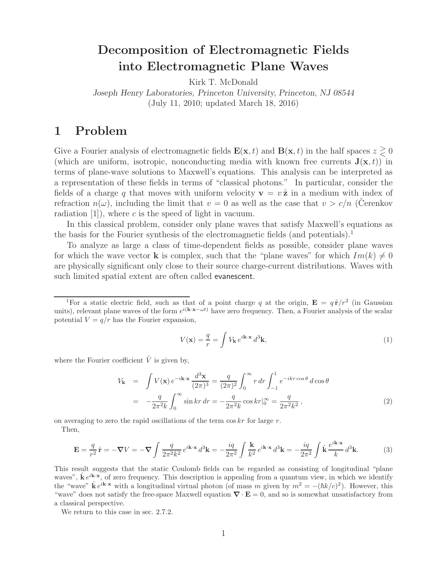# **Decomposition of Electromagnetic Fields into Electromagnetic Plane Waves**

Kirk T. McDonald

*Joseph Henry Laboratories, Princeton University, Princeton, NJ 08544* (July 11, 2010; updated March 18, 2016)

## **1 Problem**

Give a Fourier analysis of electromagnetic fields  $\mathbf{E}(\mathbf{x}, t)$  and  $\mathbf{B}(\mathbf{x}, t)$  in the half spaces  $z \geq 0$ (which are uniform, isotropic, nonconducting media with known free currents  $\mathbf{J}(\mathbf{x},t)$ ) in terms of plane-wave solutions to Maxwell's equations. This analysis can be interpreted as a representation of these fields in terms of "classical photons." In particular, consider the fields of a charge q that moves with uniform velocity  $\mathbf{v} = v \hat{\mathbf{z}}$  in a medium with index of refraction  $n(\omega)$ , including the limit that  $v = 0$  as well as the case that  $v > c/n$  (Cerenkov radiation  $[1]$ , where c is the speed of light in vacuum.

In this classical problem, consider only plane waves that satisfy Maxwell's equations as the basis for the Fourier synthesis of the electromagnetic fields (and potentials).<sup>1</sup>

To analyze as large a class of time-dependent fields as possible, consider plane waves for which the wave vector **k** is complex, such that the "plane waves" for which  $Im(k) \neq 0$ are physically significant only close to their source charge-current distributions. Waves with such limited spatial extent are often called evanescent.

$$
V(\mathbf{x}) = \frac{q}{r} = \int V_{\mathbf{k}} e^{i\mathbf{k}\cdot\mathbf{x}} d^3 \mathbf{k}, \qquad (1)
$$

where the Fourier coefficient  $\tilde{V}$  is given by,

$$
V_{\mathbf{k}} = \int V(\mathbf{x}) e^{-i\mathbf{k}\cdot\mathbf{x}} \frac{d^3 \mathbf{x}}{(2\pi)^3} = \frac{q}{(2\pi)^2} \int_0^\infty r \, dr \int_{-1}^1 e^{-ikr\cos\theta} \, d\cos\theta
$$

$$
= -\frac{q}{2\pi^2 k} \int_0^\infty \sin kr \, dr = -\frac{q}{2\pi^2 k} \cos kr|_0^\infty = \frac{q}{2\pi^2 k^2}, \tag{2}
$$

on averaging to zero the rapid oscillations of the term  $\cos kr$  for large r. Then,

$$
\mathbf{E} = \frac{q}{r^2} \hat{\mathbf{r}} = -\nabla V = -\nabla \int \frac{q}{2\pi^2 k^2} e^{i\mathbf{k} \cdot \mathbf{x}} d^3 \mathbf{k} = -\frac{iq}{2\pi^2} \int \frac{\mathbf{k}}{k^2} e^{i\mathbf{k} \cdot \mathbf{x}} d^3 \mathbf{k} = -\frac{iq}{2\pi^2} \int \hat{\mathbf{k}} \frac{e^{i\mathbf{k} \cdot \mathbf{x}}}{k} d^3 \mathbf{k}.
$$
 (3)

This result suggests that the static Coulomb fields can be regarded as consisting of longitudinal "plane waves",  $\hat{\mathbf{k}} e^{i\mathbf{k}\cdot\mathbf{x}}$ , of zero frequency. This description is appealing from a quantum view, in which we identify the "wave"  $\hat{\mathbf{k}} e^{i\mathbf{k}\cdot\mathbf{x}}$  with a longitudinal virtual photon (of mass m given by  $m^2 = -(\hbar k/c)^2$ ). However, this "wave" does not satisfy the free-space Maxwell equation *∇* · **E** = 0, and so is somewhat unsatisfactory from a classical perspective.

We return to this case in sec. 2.7.2.

<sup>&</sup>lt;sup>1</sup>For a static electric field, such as that of a point charge q at the origin,  $\mathbf{E} = q \hat{\mathbf{r}}/r^2$  (in Gaussian units), relevant plane waves of the form  $e^{i(k \cdot \mathbf{x} - \omega t)}$  have zero frequency. Then, a Fourier analysis of the scalar potential  $V = q/r$  has the Fourier expansion,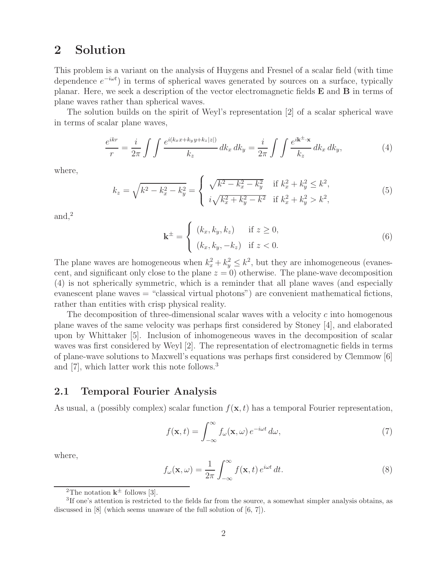## **2 Solution**

This problem is a variant on the analysis of Huygens and Fresnel of a scalar field (with time dependence  $e^{-i\omega t}$  in terms of spherical waves generated by sources on a surface, typically planar. Here, we seek a description of the vector electromagnetic fields **E** and **B** in terms of plane waves rather than spherical waves.

The solution builds on the spirit of Weyl's representation [2] of a scalar spherical wave in terms of scalar plane waves,

$$
\frac{e^{ikr}}{r} = \frac{i}{2\pi} \int \int \frac{e^{i(k_x x + k_y y + k_z |z|)}}{k_z} dk_x dk_y = \frac{i}{2\pi} \int \int \frac{e^{i\mathbf{k}^\pm \cdot \mathbf{x}}}{k_z} dk_x dk_y,\tag{4}
$$

where,

$$
k_z = \sqrt{k^2 - k_x^2 - k_y^2} = \begin{cases} \sqrt{k^2 - k_x^2 - k_y^2} & \text{if } k_x^2 + k_y^2 \le k^2, \\ i\sqrt{k_x^2 + k_y^2 - k^2} & \text{if } k_x^2 + k_y^2 > k^2, \end{cases}
$$
(5)

and,<sup>2</sup>

$$
\mathbf{k}^{\pm} = \begin{cases} (k_x, k_y, k_z) & \text{if } z \ge 0, \\ (k_x, k_y, -k_z) & \text{if } z < 0. \end{cases}
$$
 (6)

The plane waves are homogeneous when  $k_x^2 + k_y^2 \leq k^2$ , but they are inhomogeneous (evanescent, and significant only close to the plane  $z = 0$ ) otherwise. The plane-wave decomposition (4) is not spherically symmetric, which is a reminder that all plane waves (and especially evanescent plane waves = "classical virtual photons") are convenient mathematical fictions, rather than entities with crisp physical reality.

The decomposition of three-dimensional scalar waves with a velocity c into homogenous plane waves of the same velocity was perhaps first considered by Stoney [4], and elaborated upon by Whittaker [5]. Inclusion of inhomogeneous waves in the decomposition of scalar waves was first considered by Weyl [2]. The representation of electromagnetic fields in terms of plane-wave solutions to Maxwell's equations was perhaps first considered by Clemmow [6] and [7], which latter work this note follows.<sup>3</sup>

## **2.1 Temporal Fourier Analysis**

As usual, a (possibly complex) scalar function  $f(\mathbf{x}, t)$  has a temporal Fourier representation,

$$
f(\mathbf{x},t) = \int_{-\infty}^{\infty} f_{\omega}(\mathbf{x},\omega) e^{-i\omega t} d\omega,
$$
 (7)

where,

$$
f_{\omega}(\mathbf{x}, \omega) = \frac{1}{2\pi} \int_{-\infty}^{\infty} f(\mathbf{x}, t) e^{i\omega t} dt.
$$
 (8)

<sup>&</sup>lt;sup>2</sup>The notation  $k^{\pm}$  follows [3].

<sup>3</sup>If one's attention is restricted to the fields far from the source, a somewhat simpler analysis obtains, as discussed in [8] (which seems unaware of the full solution of [6, 7]).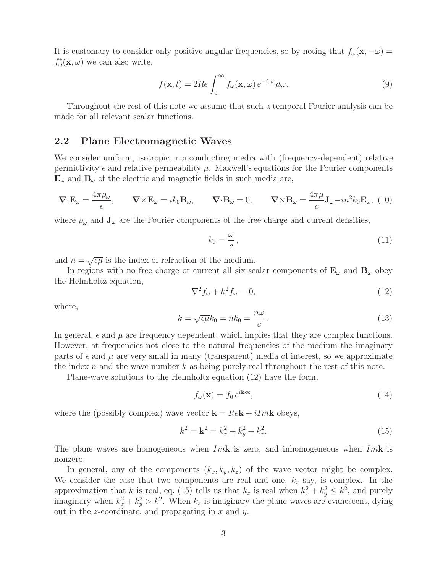It is customary to consider only positive angular frequencies, so by noting that  $f_{\omega}(\mathbf{x}, -\omega) =$  $f_{\omega}^{\star}(\mathbf{x}, \omega)$  we can also write,

$$
f(\mathbf{x},t) = 2Re \int_0^\infty f_\omega(\mathbf{x},\omega) e^{-i\omega t} d\omega.
$$
 (9)

Throughout the rest of this note we assume that such a temporal Fourier analysis can be made for all relevant scalar functions.

#### **2.2 Plane Electromagnetic Waves**

We consider uniform, isotropic, nonconducting media with (frequency-dependent) relative permittivity  $\epsilon$  and relative permeability  $\mu$ . Maxwell's equations for the Fourier components  $\mathbf{E}_{\omega}$  and  $\mathbf{B}_{\omega}$  of the electric and magnetic fields in such media are,

$$
\nabla \cdot \mathbf{E}_{\omega} = \frac{4\pi \rho_{\omega}}{\epsilon}, \qquad \nabla \times \mathbf{E}_{\omega} = ik_0 \mathbf{B}_{\omega}, \qquad \nabla \cdot \mathbf{B}_{\omega} = 0, \qquad \nabla \times \mathbf{B}_{\omega} = \frac{4\pi \mu}{c} \mathbf{J}_{\omega} - in^2 k_0 \mathbf{E}_{\omega}, \tag{10}
$$

where  $\rho_{\omega}$  and  $\mathbf{J}_{\omega}$  are the Fourier components of the free charge and current densities,

$$
k_0 = \frac{\omega}{c},\tag{11}
$$

and  $n = \sqrt{\epsilon \mu}$  is the index of refraction of the medium.

In regions with no free charge or current all six scalar components of  $\mathbf{E}_{\omega}$  and  $\mathbf{B}_{\omega}$  obey the Helmholtz equation,

$$
\nabla^2 f_\omega + k^2 f_\omega = 0,\tag{12}
$$

where,

$$
k = \sqrt{\epsilon \mu} k_0 = n k_0 = \frac{n\omega}{c}.
$$
\n(13)

In general,  $\epsilon$  and  $\mu$  are frequency dependent, which implies that they are complex functions. However, at frequencies not close to the natural frequencies of the medium the imaginary parts of  $\epsilon$  and  $\mu$  are very small in many (transparent) media of interest, so we approximate the index n and the wave number k as being purely real throughout the rest of this note.

Plane-wave solutions to the Helmholtz equation (12) have the form,

$$
f_{\omega}(\mathbf{x}) = f_0 e^{i\mathbf{k}\cdot\mathbf{x}},\tag{14}
$$

where the (possibly complex) wave vector  $\mathbf{k} = Re \mathbf{k} + iIm \mathbf{k}$  obeys,

$$
k^2 = \mathbf{k}^2 = k_x^2 + k_y^2 + k_z^2. \tag{15}
$$

The plane waves are homogeneous when Im**k** is zero, and inhomogeneous when Im**k** is nonzero.

In general, any of the components  $(k_x, k_y, k_z)$  of the wave vector might be complex. We consider the case that two components are real and one,  $k_z$  say, is complex. In the approximation that k is real, eq. (15) tells us that  $k_z$  is real when  $k_x^2 + k_y^2 \leq k^2$ , and purely imaginary when  $k_x^2 + k_y^2 > k^2$ . When  $k_z$  is imaginary the plane waves are evanescent, dying out in the *z*-coordinate, and propagating in  $x$  and  $y$ .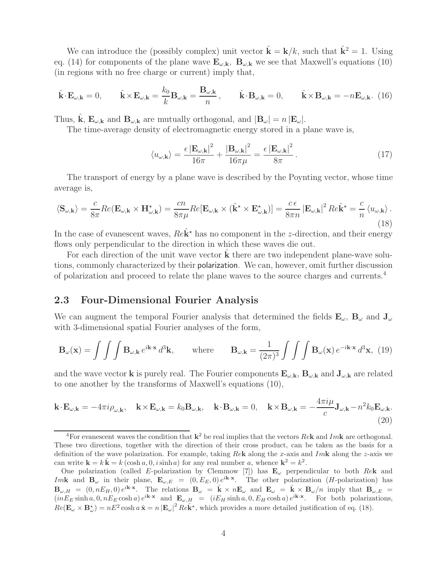We can introduce the (possibly complex) unit vector  $\hat{\mathbf{k}} = \mathbf{k}/k$ , such that  $\hat{\mathbf{k}}^2 = 1$ . Using eq. (14) for components of the plane wave  $\mathbf{E}_{\omega,\mathbf{k}}$ ,  $\mathbf{B}_{\omega,\mathbf{k}}$  we see that Maxwell's equations (10) (in regions with no free charge or current) imply that,

$$
\hat{\mathbf{k}} \cdot \mathbf{E}_{\omega, \mathbf{k}} = 0, \qquad \hat{\mathbf{k}} \times \mathbf{E}_{\omega, \mathbf{k}} = \frac{k_0}{k} \mathbf{B}_{\omega, \mathbf{k}} = \frac{\mathbf{B}_{\omega, \mathbf{k}}}{n}, \qquad \hat{\mathbf{k}} \cdot \mathbf{B}_{\omega, \mathbf{k}} = 0, \qquad \hat{\mathbf{k}} \times \mathbf{B}_{\omega, \mathbf{k}} = -n \mathbf{E}_{\omega, \mathbf{k}}. (16)
$$

Thus,  $\hat{\mathbf{k}}$ ,  $\mathbf{E}_{\omega,\mathbf{k}}$  and  $\mathbf{B}_{\omega,\mathbf{k}}$  are mutually orthogonal, and  $|\mathbf{B}_{\omega}| = n |\mathbf{E}_{\omega}|$ .

The time-average density of electromagnetic energy stored in a plane wave is,

$$
\langle u_{\omega,\mathbf{k}}\rangle = \frac{\epsilon \left|\mathbf{E}_{\omega,\mathbf{k}}\right|^2}{16\pi} + \frac{\left|\mathbf{B}_{\omega,\mathbf{k}}\right|^2}{16\pi\mu} = \frac{\epsilon \left|\mathbf{E}_{\omega,\mathbf{k}}\right|^2}{8\pi}.
$$
 (17)

The transport of energy by a plane wave is described by the Poynting vector, whose time average is,

$$
\langle \mathbf{S}_{\omega,\mathbf{k}} \rangle = \frac{c}{8\pi} Re(\mathbf{E}_{\omega,\mathbf{k}} \times \mathbf{H}_{\omega,\mathbf{k}}^{\star}) = \frac{cn}{8\pi\mu} Re[\mathbf{E}_{\omega,\mathbf{k}} \times (\hat{\mathbf{k}}^{\star} \times \mathbf{E}_{\omega,\mathbf{k}}^{\star})] = \frac{c\,\epsilon}{8\pi n} |\mathbf{E}_{\omega,\mathbf{k}}|^2 Re\hat{\mathbf{k}}^{\star} = \frac{c}{n} \langle u_{\omega,\mathbf{k}} \rangle.
$$
\n(18)

In the case of evanescent waves,  $Re\hat{\mathbf{k}}^*$  has no component in the *z*-direction, and their energy flows only perpendicular to the direction in which these waves die out.

For each direction of the unit wave vector **k** there are two independent plane-wave solutions, commonly characterized by their polarization. We can, however, omit further discussion of polarization and proceed to relate the plane waves to the source charges and currents.<sup>4</sup>

## **2.3 Four-Dimensional Fourier Analysis**

We can augment the temporal Fourier analysis that determined the fields  $\mathbf{E}_{\omega}$ ,  $\mathbf{B}_{\omega}$  and  $\mathbf{J}_{\omega}$ with 3-dimensional spatial Fourier analyses of the form,

$$
\mathbf{B}_{\omega}(\mathbf{x}) = \int \int \int \mathbf{B}_{\omega,\mathbf{k}} e^{i\mathbf{k}\cdot\mathbf{x}} d^3 \mathbf{k}, \quad \text{where} \quad \mathbf{B}_{\omega,\mathbf{k}} = \frac{1}{(2\pi)^3} \int \int \int \mathbf{B}_{\omega}(\mathbf{x}) e^{-i\mathbf{k}\cdot\mathbf{x}} d^3 \mathbf{x}, \tag{19}
$$

and the wave vector **k** is purely real. The Fourier components  $\mathbf{E}_{\omega,\mathbf{k}}$ ,  $\mathbf{B}_{\omega,\mathbf{k}}$  and  $\mathbf{J}_{\omega,\mathbf{k}}$  are related to one another by the transforms of Maxwell's equations (10),

$$
\mathbf{k} \cdot \mathbf{E}_{\omega,\mathbf{k}} = -4\pi i \rho_{\omega,\mathbf{k}}, \quad \mathbf{k} \times \mathbf{E}_{\omega,\mathbf{k}} = k_0 \mathbf{B}_{\omega,\mathbf{k}}, \quad \mathbf{k} \cdot \mathbf{B}_{\omega,\mathbf{k}} = 0, \quad \mathbf{k} \times \mathbf{B}_{\omega,\mathbf{k}} = -\frac{4\pi i \mu}{c} \mathbf{J}_{\omega,\mathbf{k}} - n^2 k_0 \mathbf{E}_{\omega,\mathbf{k}}.
$$
\n(20)

<sup>&</sup>lt;sup>4</sup>For evanescent waves the condition that  $k^2$  be real implies that the vectors Rek and Imk are orthogonal. These two directions, together with the direction of their cross product, can be taken as the basis for a definition of the wave polarization. For example, taking Re**k** along the x-axis and Im**k** along the z-axis we can write  $\mathbf{k} = k \hat{\mathbf{k}} = k (\cosh a, 0, i \sinh a)$  for any real number a, whence  $\mathbf{k}^2 = k^2$ .

One polarization (called <sup>E</sup>-polarization by Clemmow [7]) has **<sup>E</sup>**ω perpendicular to both Re**<sup>k</sup>** and Imk and  $\mathbf{B}_{\omega}$  in their plane,  $\mathbf{E}_{\omega,E} = (0, E_E, 0) e^{i\mathbf{k}\cdot\mathbf{x}}$ . The other polarization (*H*-polarization) has  $\mathbf{B}_{\omega,H} = (0, nE_H, 0) e^{i\mathbf{k}\cdot\mathbf{x}}$ . The relations  $\mathbf{B}_{\omega} = \hat{\mathbf{k}} \times n\mathbf{E}_{\omega}$  and  $\mathbf{E}_{\omega} = \hat{\mathbf{k}} \times \mathbf{B}_{\omega}/n$  imply that  $\mathbf{B}_{\omega,E} = (iE_{\omega} - \hat{\mathbf{k}}) e^{i\mathbf{k}\cdot\mathbf{x}}$ . The relations  $\mathbf{B}_{\omega}$  $(inE_E \sinh a, 0, nE_E \cosh a)e^{i\mathbf{k}\cdot\mathbf{x}}$  and  $\mathbf{E}_{\omega,H} = (iE_H \sinh a, 0, E_H \cosh a)e^{i\mathbf{k}\cdot\mathbf{x}}$ . For both polarizations,  $Re(\mathbf{E}_{\omega} \times \mathbf{B}_{\omega}^*) = nE^2 \cosh a \hat{\mathbf{x}} = n |\mathbf{E}_{\omega}|^2 Re \hat{\mathbf{k}}^*$ , which provides a more detailed justification of eq. (18).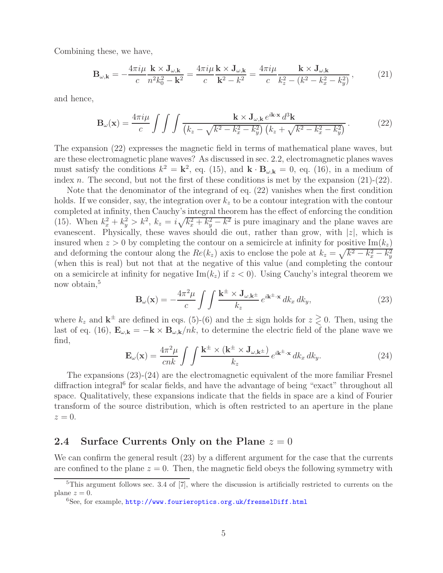Combining these, we have,

$$
\mathbf{B}_{\omega,\mathbf{k}} = -\frac{4\pi i\mu}{c} \frac{\mathbf{k} \times \mathbf{J}_{\omega,\mathbf{k}}}{n^2 k_0^2 - \mathbf{k}^2} = \frac{4\pi i\mu}{c} \frac{\mathbf{k} \times \mathbf{J}_{\omega,\mathbf{k}}}{\mathbf{k}^2 - k^2} = \frac{4\pi i\mu}{c} \frac{\mathbf{k} \times \mathbf{J}_{\omega,\mathbf{k}}}{k_z^2 - (k^2 - k_x^2 - k_y^2)},\tag{21}
$$

and hence,

$$
\mathbf{B}_{\omega}(\mathbf{x}) = \frac{4\pi i\mu}{c} \int \int \int \frac{\mathbf{k} \times \mathbf{J}_{\omega,\mathbf{k}} e^{i\mathbf{k}\cdot\mathbf{x}} d^3\mathbf{k}}{\left(k_z - \sqrt{k^2 - k_x^2 - k_y^2}\right) \left(k_z + \sqrt{k^2 - k_x^2 - k_y^2}\right)}.
$$
(22)

The expansion (22) expresses the magnetic field in terms of mathematical plane waves, but are these electromagnetic plane waves? As discussed in sec. 2.2, electromagnetic planes waves must satisfy the conditions  $k^2 = \mathbf{k}^2$ , eq. (15), and  $\mathbf{k} \cdot \mathbf{B}_{\omega, \mathbf{k}} = 0$ , eq. (16), in a medium of index  $n$ . The second, but not the first of these conditions is met by the expansion  $(21)-(22)$ .

Note that the denominator of the integrand of eq. (22) vanishes when the first condition holds. If we consider, say, the integration over  $k<sub>z</sub>$  to be a contour integration with the contour completed at infinity, then Cauchy's integral theorem has the effect of enforcing the condition (15). When  $k_x^2 + k_y^2 > k^2$ ,  $k_z = i\sqrt{k_x^2 + k_y^2 - k^2}$  is pure imaginary and the plane waves are evanescent. Physically, these waves should die out, rather than grow, with  $|z|$ , which is insured when  $z > 0$  by completing the contour on a semicircle at infinity for positive Im( $k_z$ ) and deforming the contour along the  $Re(k_z)$  axis to enclose the pole at  $k_z = \sqrt{k^2 - k_x^2 - k_y^2}$ (when this is real) but not that at the negative of this value (and completing the contour on a semicircle at infinity for negative  $\text{Im}(k_z)$  if  $z < 0$ ). Using Cauchy's integral theorem we now obtain,<sup>5</sup>

$$
\mathbf{B}_{\omega}(\mathbf{x}) = -\frac{4\pi^2\mu}{c} \int \int \frac{\mathbf{k}^{\pm} \times \mathbf{J}_{\omega,\mathbf{k}^{\pm}}}{k_z} e^{i\mathbf{k}^{\pm}\cdot\mathbf{x}} \, dk_x \, dk_y,\tag{23}
$$

where  $k_z$  and  $\mathbf{k}^{\pm}$  are defined in eqs. (5)-(6) and the  $\pm$  sign holds for  $z \geq 0$ . Then, using the last of eq. (16),  $\mathbf{E}_{\omega,\mathbf{k}} = -\mathbf{k} \times \mathbf{B}_{\omega,\mathbf{k}}/nk$ , to determine the electric field of the plane wave we find,

$$
\mathbf{E}_{\omega}(\mathbf{x}) = \frac{4\pi^2\mu}{cnk} \int \int \frac{\mathbf{k}^{\pm} \times (\mathbf{k}^{\pm} \times \mathbf{J}_{\omega,\mathbf{k}^{\pm}})}{k_z} e^{i\mathbf{k}^{\pm}\cdot\mathbf{x}} \, dk_x \, dk_y. \tag{24}
$$

The expansions (23)-(24) are the electromagnetic equivalent of the more familiar Fresnel diffraction integral<sup>6</sup> for scalar fields, and have the advantage of being "exact" throughout all space. Qualitatively, these expansions indicate that the fields in space are a kind of Fourier transform of the source distribution, which is often restricted to an aperture in the plane  $z=0.$ 

### **2.4 Surface Currents Only on the Plane** z = 0

We can confirm the general result (23) by a different argument for the case that the currents are confined to the plane  $z = 0$ . Then, the magnetic field obeys the following symmetry with

 $\overline{5}$ This argument follows sec. 3.4 of  $\overline{7}$ , where the discussion is artificially restricted to currents on the plane  $z = 0$ .

 $6$ See, for example, http://www.fourieroptics.org.uk/fresnelDiff.html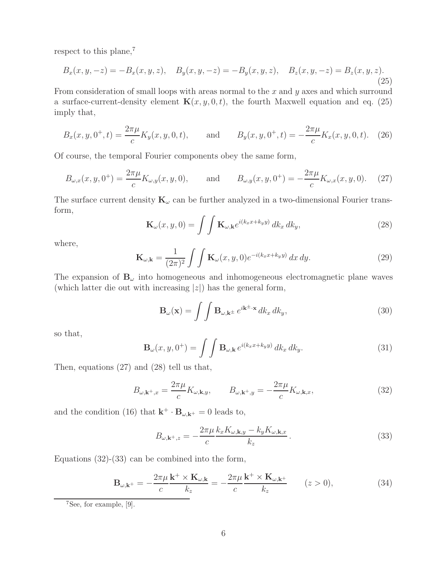respect to this plane,<sup>7</sup>

$$
B_x(x, y, -z) = -B_x(x, y, z), \quad B_y(x, y, -z) = -B_y(x, y, z), \quad B_z(x, y, -z) = B_z(x, y, z).
$$
\n(25)

From consideration of small loops with areas normal to the  $x$  and  $y$  axes and which surround a surface-current-density element  $\mathbf{K}(x, y, 0, t)$ , the fourth Maxwell equation and eq. (25) imply that,

$$
B_x(x, y, 0^+, t) = \frac{2\pi\mu}{c} K_y(x, y, 0, t), \quad \text{and} \quad B_y(x, y, 0^+, t) = -\frac{2\pi\mu}{c} K_x(x, y, 0, t). \tag{26}
$$

Of course, the temporal Fourier components obey the same form,

$$
B_{\omega,x}(x,y,0^+) = \frac{2\pi\mu}{c} K_{\omega,y}(x,y,0), \quad \text{and} \quad B_{\omega,y}(x,y,0^+) = -\frac{2\pi\mu}{c} K_{\omega,x}(x,y,0). \quad (27)
$$

The surface current density  $\mathbf{K}_{\omega}$  can be further analyzed in a two-dimensional Fourier transform,

$$
\mathbf{K}_{\omega}(x, y, 0) = \int \int \mathbf{K}_{\omega, \mathbf{k}} e^{i(k_x x + k_y y)} dk_x dk_y,
$$
\n(28)

where,

$$
\mathbf{K}_{\omega,\mathbf{k}} = \frac{1}{(2\pi)^2} \int \int \mathbf{K}_{\omega}(x,y,0)e^{-i(k_x x + k_y y)} dx dy.
$$
 (29)

The expansion of  $\mathbf{B}_{\omega}$  into homogeneous and inhomogeneous electromagnetic plane waves (which latter die out with increasing  $|z|$ ) has the general form,

$$
\mathbf{B}_{\omega}(\mathbf{x}) = \int \int \mathbf{B}_{\omega, \mathbf{k}^{\pm}} e^{i\mathbf{k}^{\pm} \cdot \mathbf{x}} dk_x dk_y,
$$
 (30)

so that,

$$
\mathbf{B}_{\omega}(x, y, 0^+) = \int \int \mathbf{B}_{\omega, \mathbf{k}} e^{i(k_x x + k_y y)} dk_x dk_y.
$$
 (31)

Then, equations (27) and (28) tell us that,

$$
B_{\omega,\mathbf{k}^+,x} = \frac{2\pi\mu}{c} K_{\omega,\mathbf{k},y}, \qquad B_{\omega,\mathbf{k}^+,y} = -\frac{2\pi\mu}{c} K_{\omega,\mathbf{k},x}, \tag{32}
$$

and the condition (16) that  $\mathbf{k}^+ \cdot \mathbf{B}_{\omega, \mathbf{k}^+} = 0$  leads to,

$$
B_{\omega, \mathbf{k}^+, z} = -\frac{2\pi\mu}{c} \frac{k_x K_{\omega, \mathbf{k}, y} - k_y K_{\omega, \mathbf{k}, x}}{k_z}.
$$
 (33)

Equations (32)-(33) can be combined into the form,

$$
\mathbf{B}_{\omega,\mathbf{k}^+} = -\frac{2\pi\mu}{c}\frac{\mathbf{k}^+ \times \mathbf{K}_{\omega,\mathbf{k}}}{k_z} = -\frac{2\pi\mu}{c}\frac{\mathbf{k}^+ \times \mathbf{K}_{\omega,\mathbf{k}^+}}{k_z} \qquad (z > 0),
$$
 (34)

<sup>7</sup>See, for example, [9].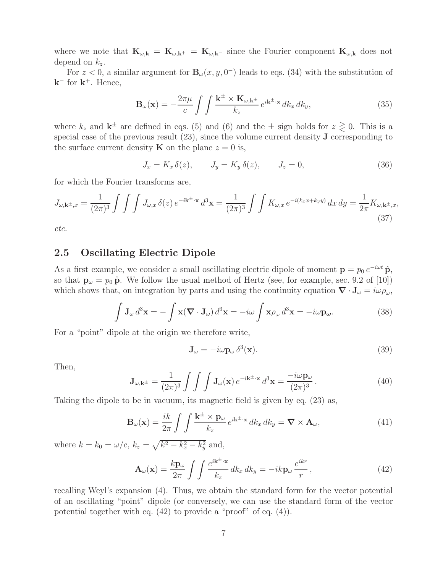where we note that  $\mathbf{K}_{\omega,\mathbf{k}} = \mathbf{K}_{\omega,\mathbf{k}^+} = \mathbf{K}_{\omega,\mathbf{k}^-}$  since the Fourier component  $\mathbf{K}_{\omega,\mathbf{k}}$  does not depend on  $k_z$ .

For  $z < 0$ , a similar argument for  $\mathbf{B}_{\omega}(x, y, 0^{-})$  leads to eqs. (34) with the substitution of  $k^-$  for  $k^+$ . Hence,

$$
\mathbf{B}_{\omega}(\mathbf{x}) = -\frac{2\pi\mu}{c} \int \int \frac{\mathbf{k}^{\pm} \times \mathbf{K}_{\omega,\mathbf{k}^{\pm}}}{k_z} e^{i\mathbf{k}^{\pm}\cdot\mathbf{x}} dk_x dk_y, \tag{35}
$$

where  $k_z$  and  $\mathbf{k}^{\pm}$  are defined in eqs. (5) and (6) and the  $\pm$  sign holds for  $z \geq 0$ . This is a special case of the previous result (23), since the volume current density **J** corresponding to the surface current density **K** on the plane  $z = 0$  is,

$$
J_x = K_x \,\delta(z), \qquad J_y = K_y \,\delta(z), \qquad J_z = 0,\tag{36}
$$

for which the Fourier transforms are,

$$
J_{\omega,\mathbf{k}^{\pm},x} = \frac{1}{(2\pi)^3} \int \int \int J_{\omega,x} \,\delta(z) \, e^{-i\mathbf{k}^{\pm} \cdot \mathbf{x}} \, d^3 \mathbf{x} = \frac{1}{(2\pi)^3} \int \int K_{\omega,x} \, e^{-i(k_x x + k_y y)} \, dx \, dy = \frac{1}{2\pi} K_{\omega,\mathbf{k}^{\pm},x},\tag{37}
$$

*etc.*

### **2.5 Oscillating Electric Dipole**

As a first example, we consider a small oscillating electric dipole of moment  $\mathbf{p} = p_0 e^{-i\omega t} \hat{\mathbf{p}}$ , so that  $\mathbf{p}_{\omega} = p_0 \hat{\mathbf{p}}$ . We follow the usual method of Hertz (see, for example, sec. 9.2 of [10]) which shows that, on integration by parts and using the continuity equation  $\nabla \cdot \mathbf{J}_{\omega} = i\omega \rho_{\omega}$ ,

$$
\int \mathbf{J}_{\omega} d^3 \mathbf{x} = -\int \mathbf{x} (\nabla \cdot \mathbf{J}_{\omega}) d^3 \mathbf{x} = -i\omega \int \mathbf{x} \rho_{\omega} d^3 \mathbf{x} = -i\omega \mathbf{p}_{\omega}.
$$
 (38)

For a "point" dipole at the origin we therefore write,

$$
\mathbf{J}_{\omega} = -i\omega \mathbf{p}_{\omega} \,\delta^3(\mathbf{x}).\tag{39}
$$

Then,

$$
\mathbf{J}_{\omega,\mathbf{k}^{\pm}} = \frac{1}{(2\pi)^3} \int \int \int \mathbf{J}_{\omega}(\mathbf{x}) e^{-i\mathbf{k}^{\pm} \cdot \mathbf{x}} d^3 \mathbf{x} = \frac{-i\omega \mathbf{p}_{\omega}}{(2\pi)^3}.
$$
 (40)

Taking the dipole to be in vacuum, its magnetic field is given by eq. (23) as,

$$
\mathbf{B}_{\omega}(\mathbf{x}) = \frac{ik}{2\pi} \int \int \frac{\mathbf{k}^{\pm} \times \mathbf{p}_{\omega}}{k_z} e^{i\mathbf{k}^{\pm} \cdot \mathbf{x}} dk_x dk_y = \nabla \times \mathbf{A}_{\omega}, \tag{41}
$$

where  $k = k_0 = \omega/c, k_z = \sqrt{k^2 - k_x^2 - k_y^2}$  and,

$$
\mathbf{A}_{\omega}(\mathbf{x}) = \frac{k \mathbf{p}_{\omega}}{2\pi} \int \int \frac{e^{i\mathbf{k}^{\pm} \cdot \mathbf{x}}}{k_z} dk_x dk_y = -ik \mathbf{p}_{\omega} \frac{e^{ikr}}{r}, \qquad (42)
$$

recalling Weyl's expansion (4). Thus, we obtain the standard form for the vector potential of an oscillating "point" dipole (or conversely, we can use the standard form of the vector potential together with eq. (42) to provide a "proof" of eq. (4)).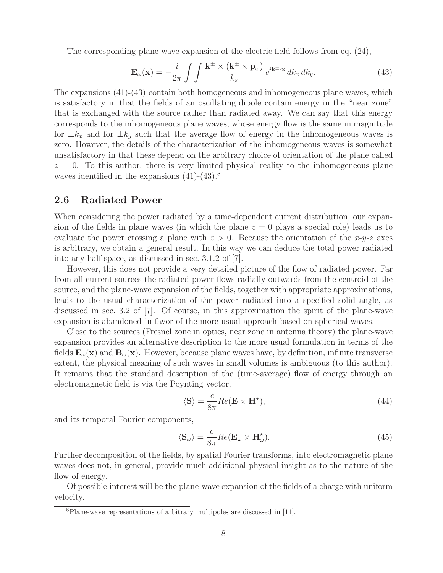The corresponding plane-wave expansion of the electric field follows from eq. (24),

$$
\mathbf{E}_{\omega}(\mathbf{x}) = -\frac{i}{2\pi} \int \int \frac{\mathbf{k}^{\pm} \times (\mathbf{k}^{\pm} \times \mathbf{p}_{\omega})}{k_z} e^{i\mathbf{k}^{\pm} \cdot \mathbf{x}} dk_x dk_y.
$$
 (43)

The expansions (41)-(43) contain both homogeneous and inhomogeneous plane waves, which is satisfactory in that the fields of an oscillating dipole contain energy in the "near zone" that is exchanged with the source rather than radiated away. We can say that this energy corresponds to the inhomogeneous plane waves, whose energy flow is the same in magnitude for  $\pm k_x$  and for  $\pm k_y$  such that the average flow of energy in the inhomogeneous waves is zero. However, the details of the characterization of the inhomogeneous waves is somewhat unsatisfactory in that these depend on the arbitrary choice of orientation of the plane called  $z = 0$ . To this author, there is very limited physical reality to the inhomogeneous plane waves identified in the expansions  $(41)-(43).8$ 

### **2.6 Radiated Power**

When considering the power radiated by a time-dependent current distribution, our expansion of the fields in plane waves (in which the plane  $z = 0$  plays a special role) leads us to evaluate the power crossing a plane with  $z > 0$ . Because the orientation of the x-y-z axes is arbitrary, we obtain a general result. In this way we can deduce the total power radiated into any half space, as discussed in sec. 3.1.2 of [7].

However, this does not provide a very detailed picture of the flow of radiated power. Far from all current sources the radiated power flows radially outwards from the centroid of the source, and the plane-wave expansion of the fields, together with appropriate approximations, leads to the usual characterization of the power radiated into a specified solid angle, as discussed in sec. 3.2 of [7]. Of course, in this approximation the spirit of the plane-wave expansion is abandoned in favor of the more usual approach based on spherical waves.

Close to the sources (Fresnel zone in optics, near zone in antenna theory) the plane-wave expansion provides an alternative description to the more usual formulation in terms of the fields  $\mathbf{E}_{\omega}(\mathbf{x})$  and  $\mathbf{B}_{\omega}(\mathbf{x})$ . However, because plane waves have, by definition, infinite transverse extent, the physical meaning of such waves in small volumes is ambiguous (to this author). It remains that the standard description of the (time-average) flow of energy through an electromagnetic field is via the Poynting vector,

$$
\langle \mathbf{S} \rangle = \frac{c}{8\pi} Re(\mathbf{E} \times \mathbf{H}^*), \tag{44}
$$

and its temporal Fourier components,

$$
\langle \mathbf{S}_{\omega} \rangle = \frac{c}{8\pi} Re(\mathbf{E}_{\omega} \times \mathbf{H}_{\omega}^*).
$$
 (45)

Further decomposition of the fields, by spatial Fourier transforms, into electromagnetic plane waves does not, in general, provide much additional physical insight as to the nature of the flow of energy.

Of possible interest will be the plane-wave expansion of the fields of a charge with uniform velocity.

<sup>8</sup>Plane-wave representations of arbitrary multipoles are discussed in [11].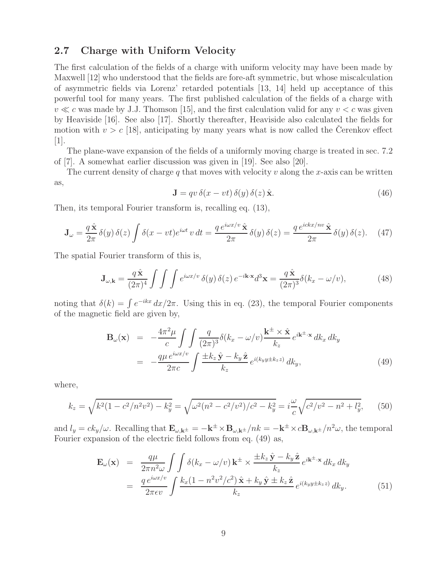## **2.7 Charge with Uniform Velocity**

The first calculation of the fields of a charge with uniform velocity may have been made by Maxwell [12] who understood that the fields are fore-aft symmetric, but whose miscalculation of asymmetric fields via Lorenz' retarded potentials [13, 14] held up acceptance of this powerful tool for many years. The first published calculation of the fields of a charge with  $v \ll c$  was made by J.J. Thomson [15], and the first calculation valid for any  $v < c$  was given by Heaviside [16]. See also [17]. Shortly thereafter, Heaviside also calculated the fields for motion with  $v>c$  [18], anticipating by many years what is now called the Cerenkov effect [1].

The plane-wave expansion of the fields of a uniformly moving charge is treated in sec. 7.2 of [7]. A somewhat earlier discussion was given in [19]. See also [20].

The current density of charge q that moves with velocity v along the x-axis can be written as,

$$
\mathbf{J} = qv \,\delta(x - vt) \,\delta(y) \,\delta(z) \,\hat{\mathbf{x}}.\tag{46}
$$

Then, its temporal Fourier transform is, recalling eq. (13),

$$
\mathbf{J}_{\omega} = \frac{q \hat{\mathbf{x}}}{2\pi} \delta(y) \delta(z) \int \delta(x - vt) e^{i\omega t} v dt = \frac{q e^{i\omega x/v} \hat{\mathbf{x}}}{2\pi} \delta(y) \delta(z) = \frac{q e^{i\epsilon k x/nv} \hat{\mathbf{x}}}{2\pi} \delta(y) \delta(z). \tag{47}
$$

The spatial Fourier transform of this is,

$$
\mathbf{J}_{\omega,\mathbf{k}} = \frac{q\hat{\mathbf{x}}}{(2\pi)^4} \int \int \int e^{i\omega x/v} \,\delta(y) \,\delta(z) \, e^{-i\mathbf{k}\cdot\mathbf{x}} d^3 \mathbf{x} = \frac{q\hat{\mathbf{x}}}{(2\pi)^3} \delta(k_x - \omega/v),\tag{48}
$$

noting that  $\delta(k) = \int e^{-ikx} dx/2\pi$ . Using this in eq. (23), the temporal Fourier components of the magnetic field are given by,

$$
\mathbf{B}_{\omega}(\mathbf{x}) = -\frac{4\pi^2\mu}{c} \int \int \frac{q}{(2\pi)^3} \delta(k_x - \omega/v) \frac{\mathbf{k}^{\pm} \times \hat{\mathbf{x}}}{k_z} e^{i\mathbf{k}^{\pm} \cdot \mathbf{x}} dk_x dk_y
$$
  

$$
= -\frac{q\mu e^{i\omega x/v}}{2\pi c} \int \frac{\pm k_z \hat{\mathbf{y}} - k_y \hat{\mathbf{z}}}{k_z} e^{i(k_y y \pm k_z z)} dk_y,
$$
(49)

where,

$$
k_z = \sqrt{k^2(1 - c^2/n^2v^2) - k_y^2} = \sqrt{\omega^2(n^2 - c^2/v^2)/c^2 - k_y^2} = i\frac{\omega}{c}\sqrt{c^2/v^2 - n^2 + l_y^2},\qquad(50)
$$

and  $l_y = ck_y/\omega$ . Recalling that  $\mathbf{E}_{\omega,\mathbf{k}^{\pm}} = -\mathbf{k}^{\pm} \times \mathbf{B}_{\omega,\mathbf{k}^{\pm}} / nk = -\mathbf{k}^{\pm} \times c \mathbf{B}_{\omega,\mathbf{k}^{\pm}} / n^2 \omega$ , the temporal Fourier expansion of the electric field follows from eq. (49) as,

$$
\mathbf{E}_{\omega}(\mathbf{x}) = \frac{q\mu}{2\pi n^2 \omega} \int \int \delta(k_x - \omega/v) \, \mathbf{k}^{\pm} \times \frac{\pm k_z \, \hat{\mathbf{y}} - k_y \, \hat{\mathbf{z}}}{k_z} e^{i\mathbf{k}^{\pm} \cdot \mathbf{x}} \, dk_x \, dk_y
$$
\n
$$
= \frac{q \, e^{i\omega x/v}}{2\pi \epsilon v} \int \frac{k_x (1 - n^2 v^2/c^2) \, \hat{\mathbf{x}} + k_y \, \hat{\mathbf{y}} \pm k_z \, \hat{\mathbf{z}}}{k_z} e^{i(k_y y \pm k_z z)} \, dk_y. \tag{51}
$$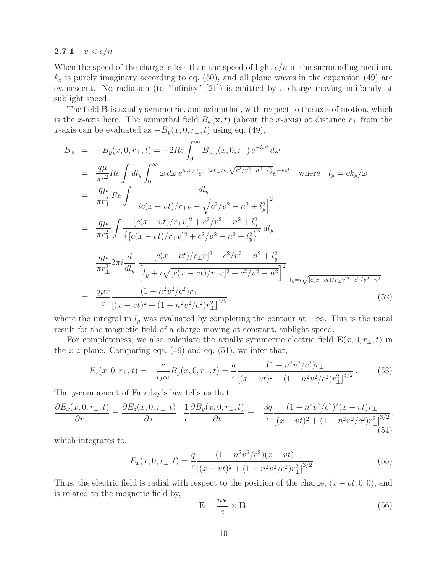#### **2.7.1**  $v < c/n$

When the speed of the charge is less than the speed of light  $c/n$  in the surrounding medium,  $k_z$  is purely imaginary according to eq. (50), and all plane waves in the expansion (49) are evanescent. No radiation (to "infinity" [21]) is emitted by a charge moving uniformly at sublight speed.

The field **B** is axially symmetric, and azimuthal, with respect to the axis of motion, which is the x-axis here. The azimuthal field  $B_{\phi}(\mathbf{x}, t)$  (about the x-axis) at distance  $r_{\perp}$  from the x-axis can be evaluated as  $-B_y(x, 0, r_\perp, t)$  using eq. (49),

$$
B_{\phi} = -B_{y}(x, 0, r_{\perp}, t) = -2Re \int_{0}^{\infty} B_{\omega, y}(x, 0, r_{\perp}) e^{-i\omega t} d\omega
$$
  
\n
$$
= \frac{q\mu}{\pi c^{2}} Re \int d l_{y} \int_{0}^{\infty} \omega d\omega e^{i\omega x/v} e^{-(\omega r_{\perp}/c)\sqrt{c^{2}/v^{2} - n^{2} + l_{y}^{2}}} e^{-i\omega t} \text{ where } l_{y} = ck_{y}/\omega
$$
  
\n
$$
= \frac{q\mu}{\pi r_{\perp}^{2}} Re \int \frac{d l_{y}}{[ic(x - vt)/r_{\perp}v - \sqrt{c^{2}/v^{2} - n^{2} + l_{y}^{2}}]} \frac{d l_{y}}{[ic(x - vt)/r_{\perp}v]^{2} + c^{2}/v^{2} - n^{2} + l_{y}^{2}} d l_{y}
$$
  
\n
$$
= \frac{q\mu}{\pi r_{\perp}^{2}} \int \frac{-[c(x - vt)/r_{\perp}v]^{2} + c^{2}/v^{2} - n^{2} + l_{y}^{2}}{\{[c(x - vt)/r_{\perp}v]^{2} + c^{2}/v^{2} - n^{2} + l_{y}^{2}\}} d l_{y}
$$
  
\n
$$
= \frac{q\mu}{\pi r_{\perp}^{2}} 2\pi i \frac{d}{d l_{y}} \frac{-[c(x - vt)/r_{\perp}v]^{2} + c^{2}/v^{2} - n^{2} + l_{y}^{2}}{[l_{y} + i\sqrt{[c(x - vt)/r_{\perp}v]^{2} + c^{2}/v^{2} - n^{2}}]} \Big|_{l_{y} = i\sqrt{[c(x - vt)/r_{\perp}v]^{2} + c^{2}/v^{2} - n^{2}}}
$$
  
\n
$$
= \frac{q\mu v}{c} \frac{(1 - n^{2}v^{2}/c^{2})r_{\perp}}{[(x - vt)^{2} + (1 - n^{2}v^{2}/c^{2})r_{\perp}^{2}]^{3/2}},
$$
  
\n(52)

where the integral in  $l_y$  was evaluated by completing the contour at  $+\infty$ . This is the usual result for the magnetic field of a charge moving at constant, sublight speed.

For completeness, we also calculate the axially symmetric electric field  $\mathbf{E}(x, 0, r_{\perp}, t)$  in the x-z plane. Comparing eqs.  $(49)$  and eq.  $(51)$ , we infer that,

$$
E_z(x,0,r_{\perp},t) = -\frac{c}{\epsilon \mu v} B_y(x,0,r_{\perp},t) = \frac{q}{\epsilon} \frac{(1 - n^2 v^2/c^2) r_{\perp}}{[(x - vt)^2 + (1 - n^2 v^2/c^2) r_{\perp}^2]^{3/2}}.
$$
(53)

The y-component of Faraday's law tells us that,

$$
\frac{\partial E_x(x,0,r_\perp,t)}{\partial r_\perp} = \frac{\partial E_z(x,0,r_\perp,t)}{\partial x} - \frac{1}{c} \frac{\partial B_y(x,0,r_\perp,t)}{\partial t} = -\frac{3q}{\epsilon} \frac{(1 - n^2 v^2/c^2)^2 (x - vt)r_\perp}{[(x - vt)^2 + (1 - n^2 v^2/c^2)r_\perp^2]^{3/2}},\tag{54}
$$

which integrates to,

$$
E_x(x, 0, r_{\perp}, t) = \frac{q}{\epsilon} \frac{(1 - n^2 v^2 / c^2)(x - vt)}{\left[ (x - vt)^2 + (1 - n^2 v^2 / c^2) r_{\perp}^2 \right]^{3/2}}.
$$
\n(55)

Thus, the electric field is radial with respect to the position of the charge,  $(x - vt, 0, 0)$ , and is related to the magnetic field by,

$$
\mathbf{E} = \frac{n\mathbf{v}}{c} \times \mathbf{B}.\tag{56}
$$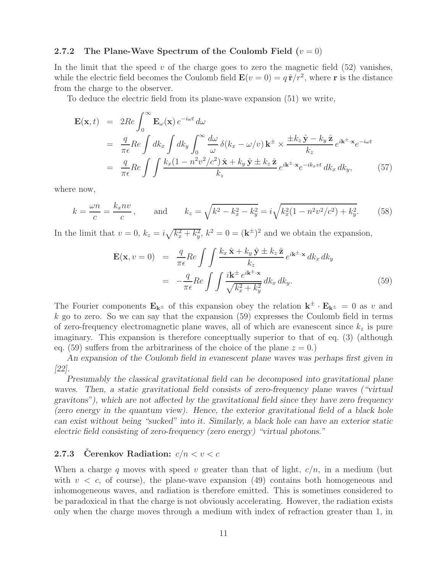#### **2.7.2** The Plane-Wave Spectrum of the Coulomb Field  $(v = 0)$

In the limit that the speed  $v$  of the charge goes to zero the magnetic field  $(52)$  vanishes, while the electric field becomes the Coulomb field  $\mathbf{E}(v=0) = q \hat{\mathbf{r}}/r^2$ , where **r** is the distance from the charge to the observer.

To deduce the electric field from its plane-wave expansion (51) we write,

$$
\mathbf{E}(\mathbf{x},t) = 2Re \int_0^\infty \mathbf{E}_{\omega}(\mathbf{x}) e^{-i\omega t} d\omega
$$
  
\n
$$
= \frac{q}{\pi \epsilon} Re \int dk_x \int dk_y \int_0^\infty \frac{d\omega}{\omega} \delta(k_x - \omega/v) \mathbf{k}^{\pm} \times \frac{\pm k_z \hat{\mathbf{y}} - k_y \hat{\mathbf{z}}}{k_z} e^{i\mathbf{k}^{\pm} \cdot \mathbf{x}} e^{-i\omega t}
$$
  
\n
$$
= \frac{q}{\pi \epsilon} Re \int \int \frac{k_x (1 - n^2 v^2/c^2) \hat{\mathbf{x}} + k_y \hat{\mathbf{y}} \pm k_z \hat{\mathbf{z}}}{k_z} e^{i\mathbf{k}^{\pm} \cdot \mathbf{x}} e^{-i k_x vt} dk_x dk_y, \qquad (57)
$$

where now,

$$
k = \frac{\omega n}{c} = \frac{k_x n v}{c}
$$
, and  $k_z = \sqrt{k^2 - k_x^2 - k_y^2} = i\sqrt{k_x^2 (1 - n^2 v^2/c^2) + k_y^2}$ . (58)

In the limit that  $v = 0$ ,  $k_z = i\sqrt{k_x^2 + k_y^2}$ ,  $k^2 = 0 = (\mathbf{k}^{\pm})^2$  and we obtain the expansion,

$$
\mathbf{E}(\mathbf{x}, v = 0) = \frac{q}{\pi \epsilon} Re \int \int \frac{k_x \hat{\mathbf{x}} + k_y \hat{\mathbf{y}} \pm k_z \hat{\mathbf{z}}}{k_z} e^{i\mathbf{k} \pm \cdot \mathbf{x}} dk_x dk_y
$$

$$
= -\frac{q}{\pi \epsilon} Re \int \int \frac{i\mathbf{k}^{\pm} e^{i\mathbf{k}^{\pm} \cdot \mathbf{x}}}{\sqrt{k_x^2 + k_y^2}} dk_x dk_y.
$$
(59)

The Fourier components  $\mathbf{E}_{\mathbf{k}^{\pm}}$  of this expansion obey the relation  $\mathbf{k}^{\pm} \cdot \mathbf{E}_{\mathbf{k}^{\pm}} = 0$  as v and  $k$  go to zero. So we can say that the expansion  $(59)$  expresses the Coulomb field in terms of zero-frequency electromagnetic plane waves, all of which are evanescent since  $k_z$  is pure imaginary. This expansion is therefore conceptually superior to that of eq. (3) (although eq. (59) suffers from the arbitrariness of the choice of the plane  $z = 0$ .)

*An expansion of the Coulomb field in evanescent plane waves was perhaps first given in [22].*

*Presumably the classical gravitational field can be decomposed into gravitational plane waves. Then, a static gravitational field consists of zero-frequency plane waves ("virtual gravitons"), which are not affected by the gravitational field since they have zero frequency (zero energy in the quantum view). Hence, the exterior gravitational field of a black hole can exist without being "sucked" into it. Similarly, a black hole can have an exterior static electric field consisting of zero-frequency (zero energy) "virtual photons."*

#### **2.7.3 Cerenkov Radiation:**  $c/n < v < c$

When a charge q moves with speed v greater than that of light,  $c/n$ , in a medium (but with  $v < c$ , of course), the plane-wave expansion (49) contains both homogeneous and inhomogeneous waves, and radiation is therefore emitted. This is sometimes considered to be paradoxical in that the charge is not obviously accelerating. However, the radiation exists only when the charge moves through a medium with index of refraction greater than 1, in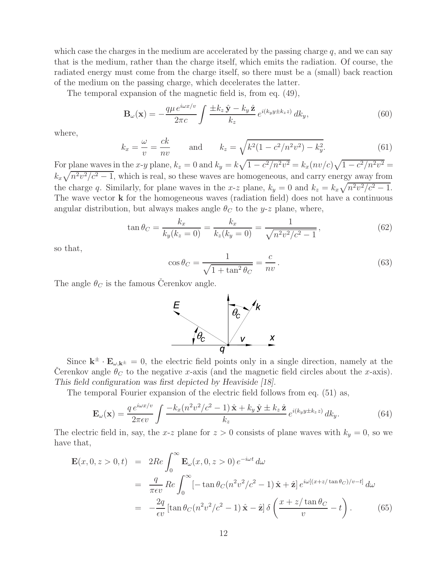which case the charges in the medium are accelerated by the passing charge  $q$ , and we can say that is the medium, rather than the charge itself, which emits the radiation. Of course, the radiated energy must come from the charge itself, so there must be a (small) back reaction of the medium on the passing charge, which decelerates the latter.

The temporal expansion of the magnetic field is, from eq. (49),

$$
\mathbf{B}_{\omega}(\mathbf{x}) = -\frac{q\mu e^{i\omega x/v}}{2\pi c} \int \frac{\pm k_z \hat{\mathbf{y}} - k_y \hat{\mathbf{z}}}{k_z} e^{i(k_y y \pm k_z z)} dk_y,
$$
(60)

where,

$$
k_x = \frac{\omega}{v} = \frac{ck}{nv}
$$
 and  $k_z = \sqrt{k^2(1 - c^2/n^2v^2) - k_y^2}$ . (61)

For plane waves in the x-y plane,  $k_z = 0$  and  $k_y = k\sqrt{1 - c^2/n^2v^2} = k_x(nv/c)\sqrt{1 - c^2/n^2v^2} =$  $k_x\sqrt{n^2v^2/c^2-1}$ , which is real, so these waves are homogeneous, and carry energy away from the charge q. Similarly, for plane waves in the x-z plane,  $k_y = 0$  and  $k_z = k_x \sqrt{n^2 v^2/c^2 - 1}$ . The wave vector **k** for the homogeneous waves (radiation field) does not have a continuous angular distribution, but always makes angle  $\theta_C$  to the y-z plane, where,

$$
\tan \theta_C = \frac{k_x}{k_y(k_z = 0)} = \frac{k_x}{k_z(k_y = 0)} = \frac{1}{\sqrt{n^2 v^2/c^2 - 1}},
$$
\n(62)

so that,

$$
\cos \theta_C = \frac{1}{\sqrt{1 + \tan^2 \theta_C}} = \frac{c}{nv}.
$$
\n(63)

The angle  $\theta_C$  is the famous Cerenkov angle.



Since  $\mathbf{k}^{\pm} \cdot \mathbf{E}_{\omega, \mathbf{k}^{\pm}} = 0$ , the electric field points only in a single direction, namely at the Cerenkov angle  $\theta_C$  to the negative x-axis (and the magnetic field circles about the x-axis). *This field configuration was first depicted by Heaviside [18].*

The temporal Fourier expansion of the electric field follows from eq. (51) as,

$$
\mathbf{E}_{\omega}(\mathbf{x}) = \frac{q e^{i\omega x/v}}{2\pi\epsilon v} \int \frac{-k_x (n^2 v^2/c^2 - 1) \hat{\mathbf{x}} + k_y \hat{\mathbf{y}} \pm k_z \hat{\mathbf{z}}}{k_z} e^{i(k_y y \pm k_z z)} dk_y.
$$
(64)

The electric field in, say, the x-z plane for  $z > 0$  consists of plane waves with  $k_y = 0$ , so we have that,

$$
\mathbf{E}(x,0,z>0,t) = 2Re \int_0^\infty \mathbf{E}_{\omega}(x,0,z>0) e^{-i\omega t} d\omega
$$
  
\n
$$
= \frac{q}{\pi \epsilon v} Re \int_0^\infty \left[ -\tan \theta_C (n^2 v^2/c^2 - 1) \hat{\mathbf{x}} + \hat{\mathbf{z}} \right] e^{i\omega[(x+z/\tan\theta_C)/v-t]} d\omega
$$
  
\n
$$
= -\frac{2q}{\epsilon v} \left[ \tan \theta_C (n^2 v^2/c^2 - 1) \hat{\mathbf{x}} - \hat{\mathbf{z}} \right] \delta \left( \frac{x+z/\tan\theta_C}{v} - t \right). \tag{65}
$$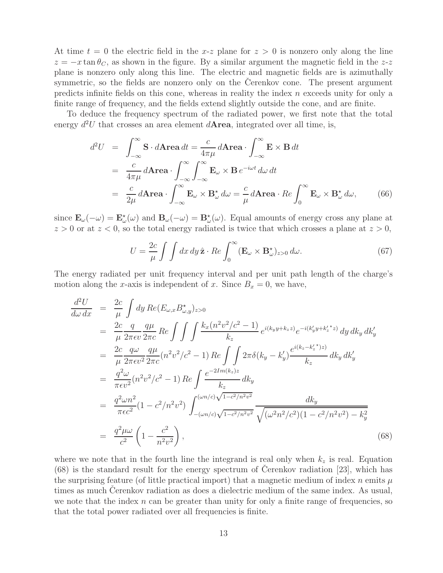At time  $t = 0$  the electric field in the x-z plane for  $z > 0$  is nonzero only along the line  $z = -x \tan \theta_C$ , as shown in the figure. By a similar argument the magnetic field in the z-z plane is nonzero only along this line. The electric and magnetic fields are is azimuthally symmetric, so the fields are nonzero only on the Cerenkov cone. The present argument predicts infinite fields on this cone, whereas in reality the index  $n$  exceeds unity for only a finite range of frequency, and the fields extend slightly outside the cone, and are finite.

To deduce the frequency spectrum of the radiated power, we first note that the total energy  $d^2U$  that crosses an area element  $d$ **Area**, integrated over all time, is,

$$
d^2U = \int_{-\infty}^{\infty} \mathbf{S} \cdot d\mathbf{A} \mathbf{r} \mathbf{e} \, dt = \frac{c}{4\pi\mu} d\mathbf{A} \mathbf{r} \mathbf{e} \mathbf{a} \cdot \int_{-\infty}^{\infty} \mathbf{E} \times \mathbf{B} \, dt
$$
  
= 
$$
\frac{c}{4\pi\mu} d\mathbf{A} \mathbf{r} \mathbf{e} \mathbf{a} \cdot \int_{-\infty}^{\infty} \int_{-\infty}^{\infty} \mathbf{E}_{\omega} \times \mathbf{B} \, e^{-i\omega t} \, d\omega \, dt
$$
  
= 
$$
\frac{c}{2\mu} d\mathbf{A} \mathbf{r} \mathbf{e} \mathbf{a} \cdot \int_{-\infty}^{\infty} \mathbf{E}_{\omega} \times \mathbf{B}_{\omega}^{\star} \, d\omega = \frac{c}{\mu} d\mathbf{A} \mathbf{r} \mathbf{e} \mathbf{a} \cdot Re \int_{0}^{\infty} \mathbf{E}_{\omega} \times \mathbf{B}_{\omega}^{\star} \, d\omega, \tag{66}
$$

since  $\mathbf{E}_{\omega}(-\omega) = \mathbf{E}_{\omega}^{\star}(\omega)$  and  $\mathbf{B}_{\omega}(-\omega) = \mathbf{B}_{\omega}^{\star}(\omega)$ . Equal amounts of energy cross any plane at  $z > 0$  or at  $z < 0$ , so the total energy radiated is twice that which crosses a plane at  $z > 0$ ,

$$
U = \frac{2c}{\mu} \int \int dx \, dy \, \hat{\mathbf{z}} \cdot Re \int_0^\infty (\mathbf{E}_{\omega} \times \mathbf{B}_{\omega}^{\star})_{z>0} \, d\omega. \tag{67}
$$

The energy radiated per unit frequency interval and per unit path length of the charge's motion along the x-axis is independent of x. Since  $B_x = 0$ , we have,

$$
\frac{d^2U}{d\omega dx} = \frac{2c}{\mu} \int dy \, Re(E_{\omega,x} B_{\omega,y}^*)_{z>0}
$$
\n
$$
= \frac{2c}{\mu} \frac{q}{2\pi \epsilon v} \frac{q\mu}{2\pi c} \, Re \int \int \int \frac{k_x (n^2 v^2/c^2 - 1)}{k_z} e^{i(k_y y + k_z z)} e^{-i(k_y' y + k_z' z)} \, dy \, dk_y \, dk_y'
$$
\n
$$
= \frac{2c}{\mu} \frac{q\omega}{2\pi \epsilon v^2} \frac{q\mu}{2\pi c} (n^2 v^2/c^2 - 1) \, Re \int \int 2\pi \delta (k_y - k_y') \frac{e^{i(k_z - k_z' \cdot z)}}{k_z} \, dk_y \, dk_y'
$$
\n
$$
= \frac{q^2 \omega}{\pi \epsilon v^2} (n^2 v^2/c^2 - 1) \, Re \int \frac{e^{-2Im(k_z)z}}{k_z} \, dk_y
$$
\n
$$
= \frac{q^2 \omega n^2}{\pi \epsilon c^2} (1 - c^2/n^2 v^2) \int_{-(\omega n/c)\sqrt{1 - c^2/n^2 v^2}}^{(\omega n/c)\sqrt{1 - c^2/n^2 v^2}} \frac{dk_y}{\sqrt{(\omega^2 n^2/c^2)(1 - c^2/n^2 v^2) - k_y^2}}
$$
\n
$$
= \frac{q^2 \mu \omega}{c^2} \left(1 - \frac{c^2}{n^2 v^2}\right), \qquad (68)
$$

where we note that in the fourth line the integrand is real only when  $k_z$  is real. Equation  $(68)$  is the standard result for the energy spectrum of Cerenkov radiation [23], which has the surprising feature (of little practical import) that a magnetic medium of index n emits  $\mu$ times as much Cerenkov radiation as does a dielectric medium of the same index. As usual, we note that the index  $n$  can be greater than unity for only a finite range of frequencies, so that the total power radiated over all frequencies is finite.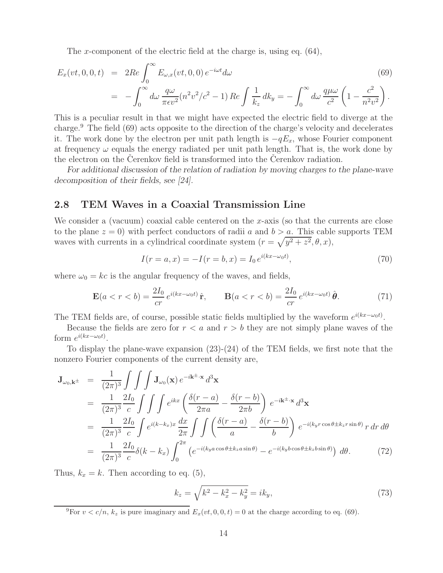The x-component of the electric field at the charge is, using eq. (64),

$$
E_x(vt, 0, 0, t) = 2Re \int_0^\infty E_{\omega, x}(vt, 0, 0) e^{-i\omega t} d\omega
$$
\n
$$
= -\int_0^\infty d\omega \frac{q\omega}{\pi \epsilon v^2} (n^2 v^2/c^2 - 1) Re \int \frac{1}{k_z} dk_y = -\int_0^\infty d\omega \frac{q\mu\omega}{c^2} \left(1 - \frac{c^2}{n^2 v^2}\right).
$$
\n(69)

This is a peculiar result in that we might have expected the electric field to diverge at the charge.<sup>9</sup> The field (69) acts opposite to the direction of the charge's velocity and decelerates it. The work done by the electron per unit path length is  $-qE_x$ , whose Fourier component at frequency  $\omega$  equals the energy radiated per unit path length. That is, the work done by the electron on the Cerenkov field is transformed into the Cerenkov radiation.

*For additional discussion of the relation of radiation by moving charges to the plane-wave decomposition of their fields, see [24].*

## **2.8 TEM Waves in a Coaxial Transmission Line**

We consider a (vacuum) coaxial cable centered on the x-axis (so that the currents are close to the plane  $z = 0$ ) with perfect conductors of radii a and  $b > a$ . This cable supports TEM waves with currents in a cylindrical coordinate system  $(r = \sqrt{y^2 + z^2}, \theta, x)$ ,

$$
I(r = a, x) = -I(r = b, x) = I_0 e^{i(kx - \omega_0 t)},
$$
\n(70)

where  $\omega_0 = kc$  is the angular frequency of the waves, and fields,

$$
\mathbf{E}(a < r < b) = \frac{2I_0}{cr} e^{i(kx - \omega_0 t)} \hat{\mathbf{r}}, \qquad \mathbf{B}(a < r < b) = \frac{2I_0}{cr} e^{i(kx - \omega_0 t)} \hat{\boldsymbol{\theta}}.
$$
 (71)

The TEM fields are, of course, possible static fields multiplied by the waveform  $e^{i(kx-\omega_0t)}$ .

Because the fields are zero for  $r < a$  and  $r > b$  they are not simply plane waves of the form  $e^{i(kx-\omega_0t)}$ .

To display the plane-wave expansion (23)-(24) of the TEM fields, we first note that the nonzero Fourier components of the current density are,

$$
\mathbf{J}_{\omega_{0},\mathbf{k}^{\pm}} = \frac{1}{(2\pi)^{3}} \int \int \int \mathbf{J}_{\omega_{0}}(\mathbf{x}) e^{-i\mathbf{k}^{\pm} \cdot \mathbf{x}} d^{3}\mathbf{x}
$$
\n
$$
= \frac{1}{(2\pi)^{3}} \frac{2I_{0}}{c} \int \int \int e^{ikx} \left( \frac{\delta(r-a)}{2\pi a} - \frac{\delta(r-b)}{2\pi b} \right) e^{-i\mathbf{k}^{\pm} \cdot \mathbf{x}} d^{3}\mathbf{x}
$$
\n
$$
= \frac{1}{(2\pi)^{3}} \frac{2I_{0}}{c} \int e^{i(k-k_{x})x} \frac{dx}{2\pi} \int \int \left( \frac{\delta(r-a)}{a} - \frac{\delta(r-b)}{b} \right) e^{-i(k_{y}r\cos\theta \pm k_{z}r\sin\theta)} r dr d\theta
$$
\n
$$
= \frac{1}{(2\pi)^{3}} \frac{2I_{0}}{c} \delta(k-k_{x}) \int_{0}^{2\pi} \left( e^{-i(k_{y}a\cos\theta \pm k_{z}a\sin\theta)} - e^{-i(k_{y}b\cos\theta \pm k_{z}b\sin\theta)} \right) d\theta. \tag{72}
$$

Thus,  $k_x = k$ . Then according to eq. (5),

$$
k_z = \sqrt{k^2 - k_x^2 - k_y^2} = ik_y,
$$
\n(73)

<sup>&</sup>lt;sup>9</sup>For  $v < c/n$ ,  $k_z$  is pure imaginary and  $E_x(v_t, 0, 0, t) = 0$  at the charge according to eq. (69).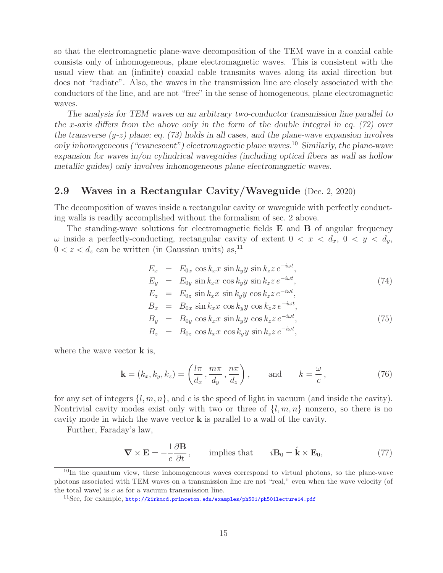so that the electromagnetic plane-wave decomposition of the TEM wave in a coaxial cable consists only of inhomogeneous, plane electromagnetic waves. This is consistent with the usual view that an (infinite) coaxial cable transmits waves along its axial direction but does not "radiate". Also, the waves in the transmission line are closely associated with the conductors of the line, and are not "free" in the sense of homogeneous, plane electromagnetic waves.

*The analysis for TEM waves on an arbitrary two-conductor transmission line parallel to the* x*-axis differs from the above only in the form of the double integral in eq. (72) over the transverse (*y*-*z*) plane; eq. (73) holds in all cases, and the plane-wave expansion involves only inhomogeneous ("evanescent") electromagnetic plane waves.*<sup>10</sup> *Similarly, the plane-wave expansion for waves in/on cylindrical waveguides (including optical fibers as wall as hollow metallic guides) only involves inhomogeneous plane electromagnetic waves.*

## **2.9 Waves in a Rectangular Cavity/Waveguide** (Dec. 2, 2020)

The decomposition of waves inside a rectangular cavity or waveguide with perfectly conducting walls is readily accomplished without the formalism of sec. 2 above.

The standing-wave solutions for electromagnetic fields **E** and **B** of angular frequency ω inside a perfectly-conducting, rectangular cavity of extent  $0 < x < d_x$ ,  $0 < y < d_y$ ,  $0 < z < d_z$  can be written (in Gaussian units) as,<sup>11</sup>

$$
E_x = E_{0x} \cos k_x x \sin k_y y \sin k_z z e^{-i\omega t},
$$
  
\n
$$
E_y = E_{0y} \sin k_x x \cos k_y y \sin k_z z e^{-i\omega t},
$$
  
\n
$$
E_z = E_{0z} \sin k_x x \sin k_y y \cos k_z z e^{-i\omega t},
$$
  
\n
$$
B_x = B_{0x} \sin k_x x \cos k_y y \cos k_z z e^{-i\omega t},
$$
  
\n
$$
B_y = B_{0y} \cos k_x x \sin k_y y \cos k_z z e^{-i\omega t},
$$
  
\n
$$
B_z = B_{0z} \cos k_x x \cos k_y y \sin k_z z e^{-i\omega t},
$$
\n(75)

where the wave vector **k** is,

$$
\mathbf{k} = (k_x, k_y, k_z) = \left(\frac{l\pi}{d_x}, \frac{m\pi}{d_y}, \frac{n\pi}{d_z}\right), \quad \text{and} \quad k = \frac{\omega}{c}, \tag{76}
$$

for any set of integers  $\{l, m, n\}$ , and c is the speed of light in vacuum (and inside the cavity). Nontrivial cavity modes exist only with two or three of  $\{l, m, n\}$  nonzero, so there is no cavity mode in which the wave vector **k** is parallel to a wall of the cavity.

Further, Faraday's law,

$$
\nabla \times \mathbf{E} = -\frac{1}{c} \frac{\partial \mathbf{B}}{\partial t}, \quad \text{implies that} \quad i\mathbf{B}_0 = \hat{\mathbf{k}} \times \mathbf{E}_0,
$$
 (77)

<sup>&</sup>lt;sup>10</sup>In the quantum view, these inhomogeneous waves correspond to virtual photons, so the plane-wave photons associated with TEM waves on a transmission line are not "real," even when the wave velocity (of the total wave) is  $c$  as for a vacuum transmission line.

<sup>&</sup>lt;sup>11</sup>See, for example, http://kirkmcd.princeton.edu/examples/ph501/ph501lecture14.pdf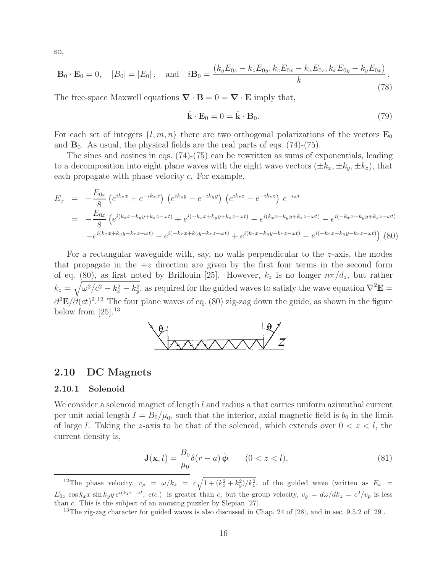so,

$$
\mathbf{B}_0 \cdot \mathbf{E}_0 = 0, \quad |B_0| = |E_0|, \quad \text{and} \quad i\mathbf{B}_0 = \frac{(k_y E_{0z} - k_z E_{0y}, k_z E_{0x} - k_x E_{0z}, k_x E_{0y} - k_y E_{0x})}{k}.
$$
\n(78)

The free-space Maxwell equations  $\nabla \cdot \mathbf{B} = 0 = \nabla \cdot \mathbf{E}$  imply that,

$$
\hat{\mathbf{k}} \cdot \mathbf{E}_0 = 0 = \hat{\mathbf{k}} \cdot \mathbf{B}_0. \tag{79}
$$

For each set of integers  $\{l, m, n\}$  there are two orthogonal polarizations of the vectors  $\mathbf{E}_0$ and  $\mathbf{B}_0$ . As usual, the physical fields are the real parts of eqs. (74)-(75).

The sines and cosines in eqs. (74)-(75) can be rewritten as sums of exponentials, leading to a decomposition into eight plane waves with the eight wave vectors  $(\pm k_x, \pm k_y, \pm k_z)$ , that each propagate with phase velocity c. For example,

$$
E_x = -\frac{E_{0x}}{8} \left( e^{ik_x x} + e^{-ik_x x} \right) \left( e^{ik_y y} - e^{-ik_y y} \right) \left( e^{ik_z z} - e^{-ik_z z} \right) e^{-i\omega t}
$$
  
\n
$$
= -\frac{E_{0x}}{8} \left( e^{i(k_x x + k_y y + k_z z - \omega t)} + e^{i(-k_x x + k_y y + k_z z - \omega t)} - e^{i(k_x x - k_y y + k_z z - \omega t)} - e^{i(-k_x x + k_y y + k_z z - \omega t)} \right)
$$
  
\n
$$
-e^{i(k_x x + k_y y - k_z z - \omega t)} - e^{i(-k_x x + k_y y - k_z z - \omega t)} + e^{i(k_x x - k_y y - k_z z - \omega t)} - e^{i(-k_x x - k_y y - k_z z - \omega t)} \right)
$$
 (80)

For a rectangular waveguide with, say, no walls perpendicular to the  $z$ -axis, the modes that propagate in the  $+z$  direction are given by the first four terms in the second form of eq. (80), as first noted by Brillouin [25]. However,  $k_z$  is no longer  $n\pi/d_z$ , but rather  $k_z = \sqrt{\omega^2/c^2 - k_x^2 - k_y^2}$ , as required for the guided waves to satisfy the wave equation  $\nabla^2 \mathbf{E} =$  $\partial^2 \mathbf{E}/\partial (ct)^2$ <sup>12</sup> The four plane waves of eq. (80) zig-zag down the guide, as shown in the figure below from  $[25]$ .<sup>13</sup>



#### **2.10 DC Magnets**

#### **2.10.1 Solenoid**

We consider a solenoid magnet of length  $l$  and radius  $a$  that carries uniform azimuthal current per unit axial length  $I = B_0/\mu_0$ , such that the interior, axial magnetic field is  $b_0$  in the limit of large l. Taking the z-axis to be that of the solenoid, which extends over  $0 < z < l$ , the current density is,

$$
\mathbf{J}(\mathbf{x},t) = \frac{B_0}{\mu_0} \delta(r-a) \hat{\boldsymbol{\phi}} \qquad (0 < z < l), \tag{81}
$$

<sup>&</sup>lt;sup>12</sup>The phase velocity,  $v_p = \omega/k_z = c \sqrt{1 + (k_x^2 + k_y^2)/k_z^2}$ , of the guided wave (written as  $E_x =$  $E_{0x} \cos k_x x \sin k_y y e^{i(k_z z - \omega t)}$ , *etc.*) is greater than c, but the group velocity,  $v_g = d\omega/dk_z = c^2/v_p$  is less than c. This is the subject of an amusing puzzler by Slepian [27].

<sup>&</sup>lt;sup>13</sup>The zig-zag character for guided waves is also discussed in Chap. 24 of  $[28]$ , and in sec. 9.5.2 of  $[29]$ .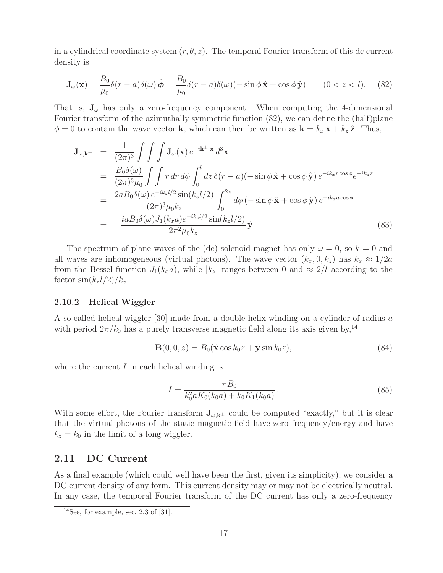in a cylindrical coordinate system  $(r, \theta, z)$ . The temporal Fourier transform of this dc current density is

$$
\mathbf{J}_{\omega}(\mathbf{x}) = \frac{B_0}{\mu_0} \delta(r - a) \delta(\omega) \hat{\boldsymbol{\phi}} = \frac{B_0}{\mu_0} \delta(r - a) \delta(\omega) (-\sin \phi \hat{\mathbf{x}} + \cos \phi \hat{\mathbf{y}}) \qquad (0 < z < l). \tag{82}
$$

That is,  $J_{\omega}$  has only a zero-frequency component. When computing the 4-dimensional Fourier transform of the azimuthally symmetric function (82), we can define the (half)plane  $\phi = 0$  to contain the wave vector **k**, which can then be written as  $\mathbf{k} = k_x \hat{\mathbf{x}} + k_z \hat{\mathbf{z}}$ . Thus,

$$
\mathbf{J}_{\omega,\mathbf{k}^{\pm}} = \frac{1}{(2\pi)^{3}} \int \int \int \mathbf{J}_{\omega}(\mathbf{x}) e^{-i\mathbf{k}^{\pm} \cdot \mathbf{x}} d^{3} \mathbf{x}
$$
\n
$$
= \frac{B_{0}\delta(\omega)}{(2\pi)^{3}\mu_{0}} \int \int r dr d\phi \int_{0}^{l} dz \, \delta(r-a) (-\sin\phi \, \hat{\mathbf{x}} + \cos\phi \, \hat{\mathbf{y}}) e^{-ik_{x}r\cos\phi} e^{-ik_{z}z}
$$
\n
$$
= \frac{2aB_{0}\delta(\omega) e^{-ik_{z}l/2} \sin(k_{z}l/2)}{(2\pi)^{3}\mu_{0}k_{z}} \int_{0}^{2\pi} d\phi (-\sin\phi \, \hat{\mathbf{x}} + \cos\phi \, \hat{\mathbf{y}}) e^{-ik_{x}a\cos\phi}
$$
\n
$$
= -\frac{iaB_{0}\delta(\omega)J_{1}(k_{x}a)e^{-ik_{z}l/2} \sin(k_{z}l/2)}{2\pi^{2}\mu_{0}k_{z}} \, \hat{\mathbf{y}}.
$$
\n(83)

The spectrum of plane waves of the (dc) solenoid magnet has only  $\omega = 0$ , so  $k = 0$  and all waves are inhomogeneous (virtual photons). The wave vector  $(k_x, 0, k_z)$  has  $k_x \approx 1/2a$ from the Bessel function  $J_1(k_x a)$ , while  $|k_z|$  ranges between 0 and  $\approx 2/l$  according to the factor  $\sin(k_z l/2)/k_z$ .

#### **2.10.2 Helical Wiggler**

A so-called helical wiggler [30] made from a double helix winding on a cylinder of radius a with period  $2\pi/k_0$  has a purely transverse magnetic field along its axis given by,<sup>14</sup>

$$
\mathbf{B}(0,0,z) = B_0(\hat{\mathbf{x}}\cos k_0 z + \hat{\mathbf{y}}\sin k_0 z),\tag{84}
$$

where the current  $I$  in each helical winding is

$$
I = \frac{\pi B_0}{k_0^2 a K_0 (k_0 a) + k_0 K_1 (k_0 a)}.
$$
\n(85)

With some effort, the Fourier transform  $J_{\omega, k^{\pm}}$  could be computed "exactly," but it is clear that the virtual photons of the static magnetic field have zero frequency/energy and have  $k_z = k_0$  in the limit of a long wiggler.

## **2.11 DC Current**

As a final example (which could well have been the first, given its simplicity), we consider a DC current density of any form. This current density may or may not be electrically neutral. In any case, the temporal Fourier transform of the DC current has only a zero-frequency

 $14$ See, for example, sec. 2.3 of [31].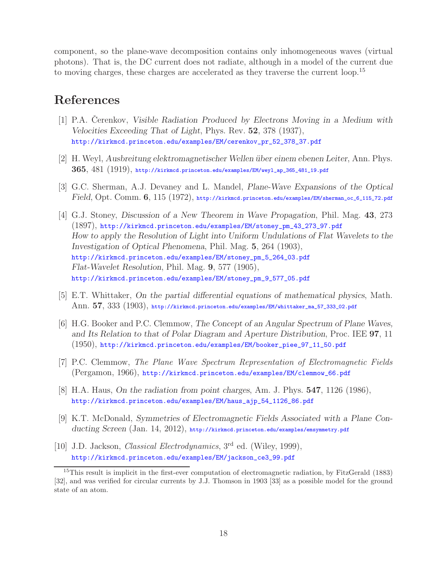component, so the plane-wave decomposition contains only inhomogeneous waves (virtual photons). That is, the DC current does not radiate, although in a model of the current due to moving charges, these charges are accelerated as they traverse the current loop.<sup>15</sup>

## **References**

- [1] P.A. Cerenkov, *Visible Radiation Produced by Electrons Moving in a Medium with Velocities Exceeding That of Light*, Phys. Rev. **52**, 378 (1937), http://kirkmcd.princeton.edu/examples/EM/cerenkov\_pr\_52\_378\_37.pdf
- [2] H. Weyl, *Ausbreitung elektromagnetischer Wellen ¨uber einem ebenen Leiter*, Ann. Phys. **365**, 481 (1919), http://kirkmcd.princeton.edu/examples/EM/weyl\_ap\_365\_481\_19.pdf
- [3] G.C. Sherman, A.J. Devaney and L. Mandel, *Plane-Wave Expansions of the Optical Field*, Opt. Comm. **6**, 115 (1972), http://kirkmcd.princeton.edu/examples/EM/sherman\_oc\_6\_115\_72.pdf
- [4] G.J. Stoney, *Discussion of a New Theorem in Wave Propagation*, Phil. Mag. **43**, 273 (1897), http://kirkmcd.princeton.edu/examples/EM/stoney\_pm\_43\_273\_97.pdf *How to apply the Resolution of Light into Uniform Undulations of Flat Wavelets to the Investigation of Optical Phenomena*, Phil. Mag. **5**, 264 (1903), http://kirkmcd.princeton.edu/examples/EM/stoney\_pm\_5\_264\_03.pdf *Flat-Wavelet Resolution*, Phil. Mag. **9**, 577 (1905), http://kirkmcd.princeton.edu/examples/EM/stoney\_pm\_9\_577\_05.pdf
- [5] E.T. Whittaker, *On the partial differential equations of mathematical physics*, Math. Ann. 57, 333 (1903), http://kirkmcd.princeton.edu/examples/EM/whittaker\_ma\_57\_333\_02.pdf
- [6] H.G. Booker and P.C. Clemmow, *The Concept of an Angular Spectrum of Plane Waves, and Its Relation to that of Polar Diagram and Aperture Distribution*, Proc. IEE **97**, 11 (1950), http://kirkmcd.princeton.edu/examples/EM/booker\_piee\_97\_11\_50.pdf
- [7] P.C. Clemmow, *The Plane Wave Spectrum Representation of Electromagnetic Fields* (Pergamon, 1966), http://kirkmcd.princeton.edu/examples/EM/clemmow\_66.pdf
- [8] H.A. Haus, *On the radiation from point charges*, Am. J. Phys. **547**, 1126 (1986), http://kirkmcd.princeton.edu/examples/EM/haus\_ajp\_54\_1126\_86.pdf
- [9] K.T. McDonald, *Symmetries of Electromagnetic Fields Associated with a Plane Conducting Screen* (Jan. 14, 2012), http://kirkmcd.princeton.edu/examples/emsymmetry.pdf
- [10] J.D. Jackson, *Classical Electrodynamics*, 3rd ed. (Wiley, 1999), http://kirkmcd.princeton.edu/examples/EM/jackson\_ce3\_99.pdf

<sup>&</sup>lt;sup>15</sup>This result is implicit in the first-ever computation of electromagnetic radiation, by FitzGerald (1883) [32], and was verified for circular currents by J.J. Thomson in 1903 [33] as a possible model for the ground state of an atom.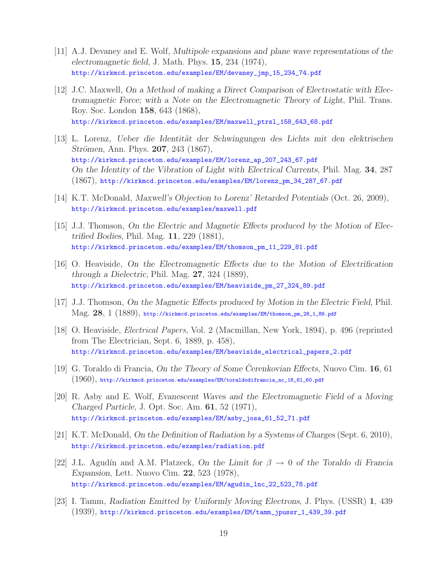- [11] A.J. Devaney and E. Wolf, *Multipole expansions and plane wave representations of the electromagnetic field*, J. Math. Phys. **15**, 234 (1974), http://kirkmcd.princeton.edu/examples/EM/devaney\_jmp\_15\_234\_74.pdf
- [12] J.C. Maxwell, *On a Method of making a Direct Comparison of Electrostatic with Electromagnetic Force; with a Note on the Electromagnetic Theory of Light*, Phil. Trans. Roy. Soc. London **158**, 643 (1868), http://kirkmcd.princeton.edu/examples/EM/maxwell\_ptrsl\_158\_643\_68.pdf
- [13] L. Lorenz, *Ueber die Identit¨at der Schwingungen des Lichts mit den elektrischen Strömen*, Ann. Phys. **207**, 243 (1867), http://kirkmcd.princeton.edu/examples/EM/lorenz\_ap\_207\_243\_67.pdf *On the Identity of the Vibration of Light with Electrical Currents*, Phil. Mag. **34**, 287 (1867), http://kirkmcd.princeton.edu/examples/EM/lorenz\_pm\_34\_287\_67.pdf
- [14] K.T. McDonald, *Maxwell's Objection to Lorenz' Retarded Potentials* (Oct. 26, 2009), http://kirkmcd.princeton.edu/examples/maxwell.pdf
- [15] J.J. Thomson, *On the Electric and Magnetic Effects produced by the Motion of Electrified Bodies*, Phil. Mag. **11**, 229 (1881), http://kirkmcd.princeton.edu/examples/EM/thomson\_pm\_11\_229\_81.pdf
- [16] O. Heaviside, *On the Electromagnetic Effects due to the Motion of Electrification through a Dielectric*, Phil. Mag. **27**, 324 (1889), http://kirkmcd.princeton.edu/examples/EM/heaviside\_pm\_27\_324\_89.pdf
- [17] J.J. Thomson, *On the Magnetic Effects produced by Motion in the Electric Field*, Phil. Mag. **28**, 1 (1889), http://kirkmcd.princeton.edu/examples/EM/thomson\_pm\_28\_1\_89.pdf
- [18] O. Heaviside, *Electrical Papers*, Vol. 2 (Macmillan, New York, 1894), p. 496 (reprinted from The Electrician, Sept. 6, 1889, p. 458), http://kirkmcd.princeton.edu/examples/EM/heaviside\_electrical\_papers\_2.pdf
- [19] G. Toraldo di Francia, *On the Theory of Some Cerenkovian Effects*, Nuovo Cim. **16**, 61 (1960), http://kirkmcd.princeton.edu/examples/EM/toraldodifrancia\_nc\_16\_61\_60.pdf
- [20] R. Asby and E. Wolf, *Evanescent Waves and the Electromagnetic Field of a Moving Charged Particle*, J. Opt. Soc. Am. **61**, 52 (1971), http://kirkmcd.princeton.edu/examples/EM/asby\_josa\_61\_52\_71.pdf
- [21] K.T. McDonald, *On the Definition of Radiation by a Systems of Charges* (Sept. 6, 2010), http://kirkmcd.princeton.edu/examples/radiation.pdf
- [22] J.L. Agudín and A.M. Platzeck, *On the Limit for*  $\beta \rightarrow 0$  *of the Toraldo di Francia Expansion*, Lett. Nuovo Cim. **22**, 523 (1978), http://kirkmcd.princeton.edu/examples/EM/agudin\_lnc\_22\_523\_78.pdf
- [23] I. Tamm, *Radiation Emitted by Uniformly Moving Electrons*, J. Phys. (USSR) **1**, 439 (1939), http://kirkmcd.princeton.edu/examples/EM/tamm\_jpussr\_1\_439\_39.pdf